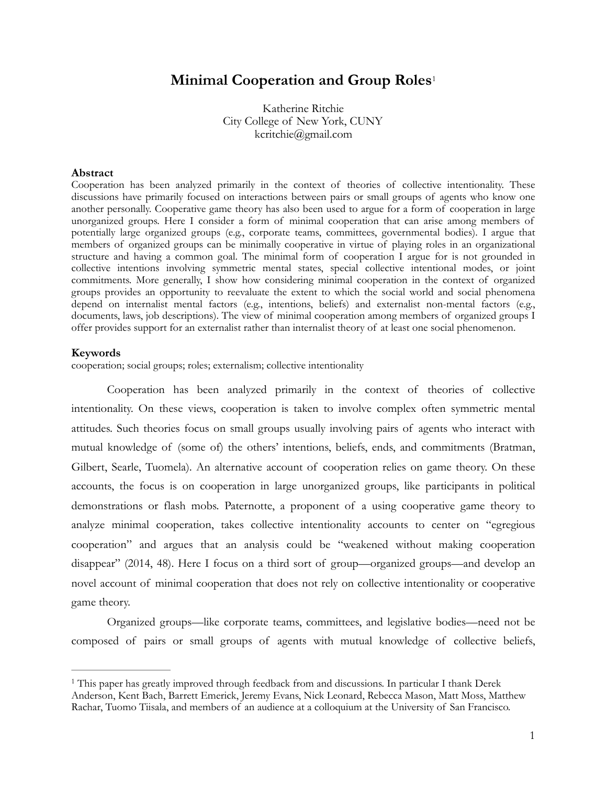# **Minimal Cooperation and Group Roles**[1](#page-0-0)

<span id="page-0-1"></span>Katherine Ritchie City College of New York, CUNY kcritchie@gmail.com

#### **Abstract**

Cooperation has been analyzed primarily in the context of theories of collective intentionality. These discussions have primarily focused on interactions between pairs or small groups of agents who know one another personally. Cooperative game theory has also been used to argue for a form of cooperation in large unorganized groups. Here I consider a form of minimal cooperation that can arise among members of potentially large organized groups (e.g., corporate teams, committees, governmental bodies). I argue that members of organized groups can be minimally cooperative in virtue of playing roles in an organizational structure and having a common goal. The minimal form of cooperation I argue for is not grounded in collective intentions involving symmetric mental states, special collective intentional modes, or joint commitments. More generally, I show how considering minimal cooperation in the context of organized groups provides an opportunity to reevaluate the extent to which the social world and social phenomena depend on internalist mental factors (e.g., intentions, beliefs) and externalist non-mental factors (e.g., documents, laws, job descriptions). The view of minimal cooperation among members of organized groups I offer provides support for an externalist rather than internalist theory of at least one social phenomenon.

#### **Keywords**

cooperation; social groups; roles; externalism; collective intentionality

 Cooperation has been analyzed primarily in the context of theories of collective intentionality. On these views, cooperation is taken to involve complex often symmetric mental attitudes. Such theories focus on small groups usually involving pairs of agents who interact with mutual knowledge of (some of) the others' intentions, beliefs, ends, and commitments (Bratman, Gilbert, Searle, Tuomela). An alternative account of cooperation relies on game theory. On these accounts, the focus is on cooperation in large unorganized groups, like participants in political demonstrations or flash mobs. Paternotte, a proponent of a using cooperative game theory to analyze minimal cooperation, takes collective intentionality accounts to center on "egregious cooperation" and argues that an analysis could be "weakened without making cooperation disappear" (2014, 48). Here I focus on a third sort of group—organized groups—and develop an novel account of minimal cooperation that does not rely on collective intentionality or cooperative game theory.

 Organized groups—like corporate teams, committees, and legislative bodies—need not be composed of pairs or small groups of agents with mutual knowledge of collective beliefs,

<span id="page-0-0"></span><sup>&</sup>lt;sup>[1](#page-0-1)</sup> This paper has greatly improved through feedback from and discussions. In particular I thank Derek Anderson, Kent Bach, Barrett Emerick, Jeremy Evans, Nick Leonard, Rebecca Mason, Matt Moss, Matthew Rachar, Tuomo Tiisala, and members of an audience at a colloquium at the University of San Francisco.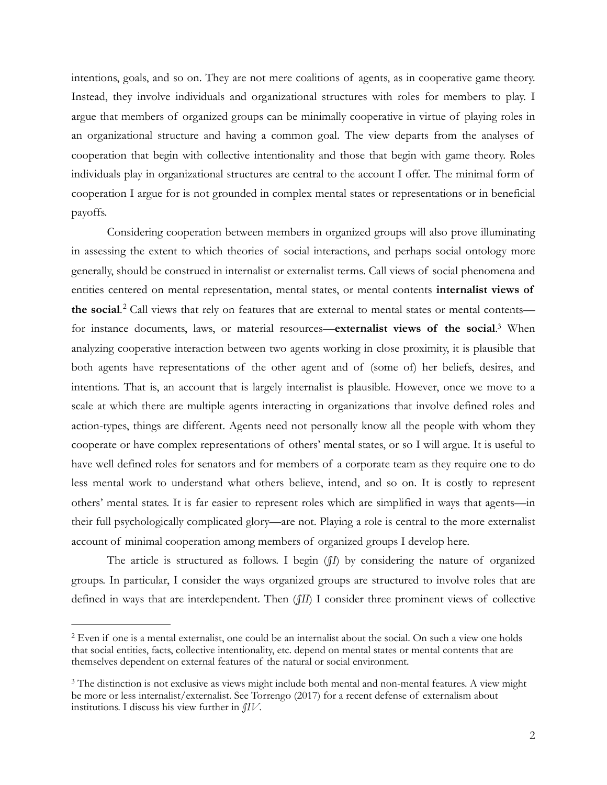intentions, goals, and so on. They are not mere coalitions of agents, as in cooperative game theory. Instead, they involve individuals and organizational structures with roles for members to play. I argue that members of organized groups can be minimally cooperative in virtue of playing roles in an organizational structure and having a common goal. The view departs from the analyses of cooperation that begin with collective intentionality and those that begin with game theory. Roles individuals play in organizational structures are central to the account I offer. The minimal form of cooperation I argue for is not grounded in complex mental states or representations or in beneficial payoffs.

<span id="page-1-3"></span><span id="page-1-2"></span> Considering cooperation between members in organized groups will also prove illuminating in assessing the extent to which theories of social interactions, and perhaps social ontology more generally, should be construed in internalist or externalist terms. Call views of social phenomena and entities centered on mental representation, mental states, or mental contents **internalist views of**  the social.<sup>[2](#page-1-0)</sup> Call views that rely on features that are external to mental states or mental contents— for instance documents, laws, or material resources—externalist views of the social[.](#page-1-1)<sup>[3](#page-1-1)</sup> When analyzing cooperative interaction between two agents working in close proximity, it is plausible that both agents have representations of the other agent and of (some of) her beliefs, desires, and intentions. That is, an account that is largely internalist is plausible. However, once we move to a scale at which there are multiple agents interacting in organizations that involve defined roles and action-types, things are different. Agents need not personally know all the people with whom they cooperate or have complex representations of others' mental states, or so I will argue. It is useful to have well defined roles for senators and for members of a corporate team as they require one to do less mental work to understand what others believe, intend, and so on. It is costly to represent others' mental states. It is far easier to represent roles which are simplified in ways that agents—in their full psychologically complicated glory—are not. Playing a role is central to the more externalist account of minimal cooperation among members of organized groups I develop here.

 The article is structured as follows. I begin (*§I*) by considering the nature of organized groups. In particular, I consider the ways organized groups are structured to involve roles that are defined in ways that are interdependent. Then (*§II*) I consider three prominent views of collective

<span id="page-1-0"></span><sup>&</sup>lt;sup>[2](#page-1-2)</sup> Even if one is a mental externalist, one could be an internalist about the social. On such a view one holds that social entities, facts, collective intentionality, etc. depend on mental states or mental contents that are themselves dependent on external features of the natural or social environment.

<span id="page-1-1"></span><sup>&</sup>lt;sup>[3](#page-1-3)</sup> The distinction is not exclusive as views might include both mental and non-mental features. A view might be more or less internalist/externalist. See Torrengo (2017) for a recent defense of externalism about institutions. I discuss his view further in *§IV*.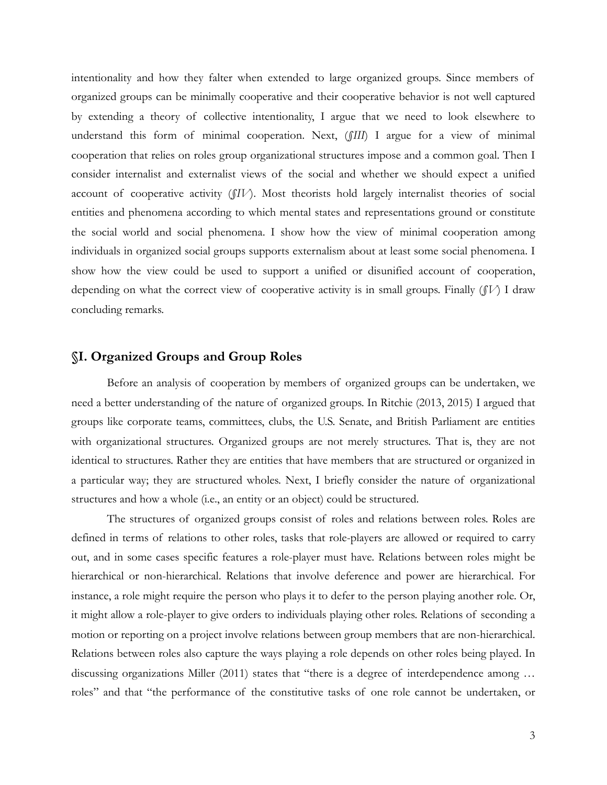intentionality and how they falter when extended to large organized groups. Since members of organized groups can be minimally cooperative and their cooperative behavior is not well captured by extending a theory of collective intentionality, I argue that we need to look elsewhere to understand this form of minimal cooperation. Next, (*§III*) I argue for a view of minimal cooperation that relies on roles group organizational structures impose and a common goal. Then I consider internalist and externalist views of the social and whether we should expect a unified account of cooperative activity (*§IV*). Most theorists hold largely internalist theories of social entities and phenomena according to which mental states and representations ground or constitute the social world and social phenomena. I show how the view of minimal cooperation among individuals in organized social groups supports externalism about at least some social phenomena. I show how the view could be used to support a unified or disunified account of cooperation, depending on what the correct view of cooperative activity is in small groups. Finally (*§V*) I draw concluding remarks.

## **§I. Organized Groups and Group Roles**

 Before an analysis of cooperation by members of organized groups can be undertaken, we need a better understanding of the nature of organized groups. In Ritchie (2013, 2015) I argued that groups like corporate teams, committees, clubs, the U.S. Senate, and British Parliament are entities with organizational structures. Organized groups are not merely structures. That is, they are not identical to structures. Rather they are entities that have members that are structured or organized in a particular way; they are structured wholes. Next, I briefly consider the nature of organizational structures and how a whole (i.e., an entity or an object) could be structured.

 The structures of organized groups consist of roles and relations between roles. Roles are defined in terms of relations to other roles, tasks that role-players are allowed or required to carry out, and in some cases specific features a role-player must have. Relations between roles might be hierarchical or non-hierarchical. Relations that involve deference and power are hierarchical. For instance, a role might require the person who plays it to defer to the person playing another role. Or, it might allow a role-player to give orders to individuals playing other roles. Relations of seconding a motion or reporting on a project involve relations between group members that are non-hierarchical. Relations between roles also capture the ways playing a role depends on other roles being played. In discussing organizations Miller (2011) states that "there is a degree of interdependence among … roles" and that "the performance of the constitutive tasks of one role cannot be undertaken, or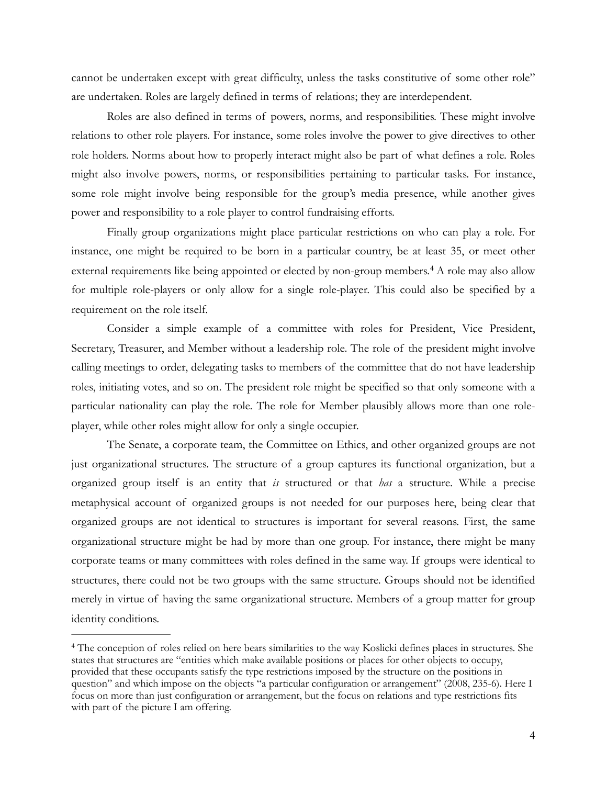cannot be undertaken except with great difficulty, unless the tasks constitutive of some other role" are undertaken. Roles are largely defined in terms of relations; they are interdependent.

 Roles are also defined in terms of powers, norms, and responsibilities. These might involve relations to other role players. For instance, some roles involve the power to give directives to other role holders. Norms about how to properly interact might also be part of what defines a role. Roles might also involve powers, norms, or responsibilities pertaining to particular tasks. For instance, some role might involve being responsible for the group's media presence, while another gives power and responsibility to a role player to control fundraising efforts.

<span id="page-3-1"></span> Finally group organizations might place particular restrictions on who can play a role. For instance, one might be required to be born in a particular country, be at least 35, or meet other external requirements like being appointed or elected by non-group members.<sup>[4](#page-3-0)</sup> A role may also allow for multiple role-players or only allow for a single role-player. This could also be specified by a requirement on the role itself.

 Consider a simple example of a committee with roles for President, Vice President, Secretary, Treasurer, and Member without a leadership role. The role of the president might involve calling meetings to order, delegating tasks to members of the committee that do not have leadership roles, initiating votes, and so on. The president role might be specified so that only someone with a particular nationality can play the role. The role for Member plausibly allows more than one roleplayer, while other roles might allow for only a single occupier.

 The Senate, a corporate team, the Committee on Ethics, and other organized groups are not just organizational structures. The structure of a group captures its functional organization, but a organized group itself is an entity that *is* structured or that *has* a structure. While a precise metaphysical account of organized groups is not needed for our purposes here, being clear that organized groups are not identical to structures is important for several reasons. First, the same organizational structure might be had by more than one group. For instance, there might be many corporate teams or many committees with roles defined in the same way. If groups were identical to structures, there could not be two groups with the same structure. Groups should not be identified merely in virtue of having the same organizational structure. Members of a group matter for group identity conditions.

<span id="page-3-0"></span>The conception of roles relied on here bears similarities to the way Koslicki defines places in structures. She [4](#page-3-1) states that structures are "entities which make available positions or places for other objects to occupy, provided that these occupants satisfy the type restrictions imposed by the structure on the positions in question" and which impose on the objects "a particular configuration or arrangement" (2008, 235-6). Here I focus on more than just configuration or arrangement, but the focus on relations and type restrictions fits with part of the picture I am offering.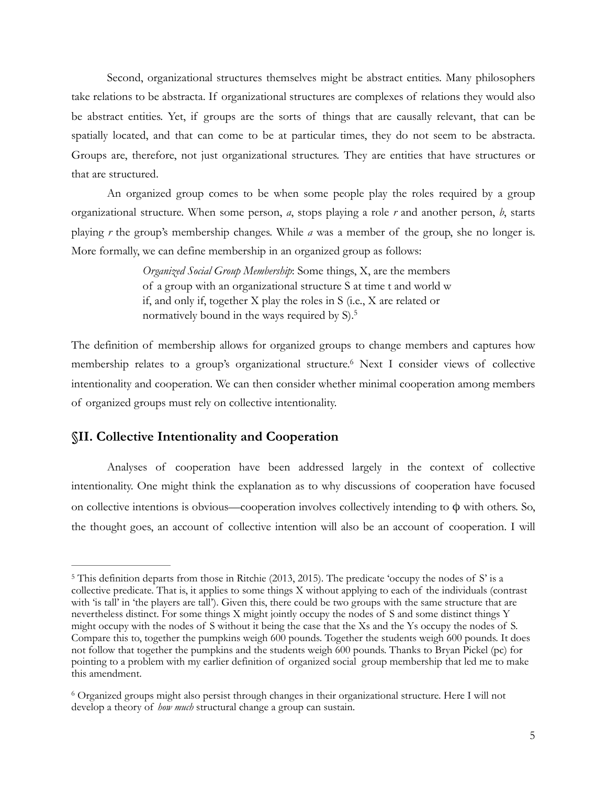Second, organizational structures themselves might be abstract entities. Many philosophers take relations to be abstracta. If organizational structures are complexes of relations they would also be abstract entities. Yet, if groups are the sorts of things that are causally relevant, that can be spatially located, and that can come to be at particular times, they do not seem to be abstracta. Groups are, therefore, not just organizational structures. They are entities that have structures or that are structured.

 An organized group comes to be when some people play the roles required by a group organizational structure. When some person, *a*, stops playing a role *r* and another person, *b*, starts playing *r* the group's membership changes. While *a* was a member of the group, she no longer is. More formally, we can define membership in an organized group as follows:

> <span id="page-4-3"></span><span id="page-4-2"></span> *Organized Social Group Membership*: Some things, X, are the members of a group with an organizational structure S at time t and world w if, and only if, together X play the roles in S (i.e., X are related or normatively bound in the ways required by S).<sup>5</sup>

The definition of membership allows for organized groups to change members and captures how membership relates to a group's organizational structure.<sup>[6](#page-4-1)</sup> Next I consider views of collective intentionality and cooperation. We can then consider whether minimal cooperation among members of organized groups must rely on collective intentionality.

## **§II. Collective Intentionality and Cooperation**

 Analyses of cooperation have been addressed largely in the context of collective intentionality. One might think the explanation as to why discussions of cooperation have focused on collective intentions is obvious—cooperation involves collectively intending to  $\phi$  with others. So, the thought goes, an account of collective intention will also be an account of cooperation. I will

<span id="page-4-0"></span><sup>&</sup>lt;sup>[5](#page-4-2)</sup> This definition departs from those in Ritchie (2013, 2015). The predicate 'occupy the nodes of S' is a collective predicate. That is, it applies to some things X without applying to each of the individuals (contrast with 'is tall' in 'the players are tall'). Given this, there could be two groups with the same structure that are nevertheless distinct. For some things X might jointly occupy the nodes of S and some distinct things Y might occupy with the nodes of S without it being the case that the Xs and the Ys occupy the nodes of S. Compare this to, together the pumpkins weigh 600 pounds. Together the students weigh 600 pounds. It does not follow that together the pumpkins and the students weigh 600 pounds. Thanks to Bryan Pickel (pc) for pointing to a problem with my earlier definition of organized social group membership that led me to make this amendment.

<span id="page-4-1"></span>Organized groups might also persist through changes in their organizational structure. Here I will not [6](#page-4-3) develop a theory of *how much* structural change a group can sustain.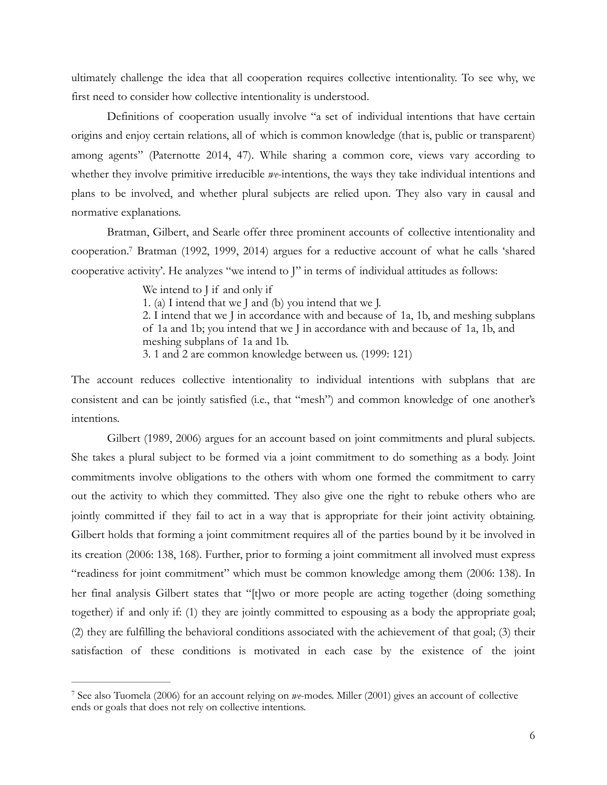ultimately challenge the idea that all cooperation requires collective intentionality. To see why, we first need to consider how collective intentionality is understood.

 Definitions of cooperation usually involve "a set of individual intentions that have certain origins and enjoy certain relations, all of which is common knowledge (that is, public or transparent) among agents" (Paternotte 2014, 47). While sharing a common core, views vary according to whether they involve primitive irreducible *we*-intentions, the ways they take individual intentions and plans to be involved, and whether plural subjects are relied upon. They also vary in causal and normative explanations.

 Bratman, Gilbert, and Searle offer three prominent accounts of collective intentionality and cooperation[.](#page-5-0)<sup>[7](#page-5-0)</sup> Bratman (1992, 1999, 2014) argues for a reductive account of what he calls 'shared cooperative activity'. He analyzes "we intend to J" in terms of individual attitudes as follows:

<span id="page-5-1"></span>We intend to *J* if and only if

1. (a) I intend that we J and (b) you intend that we J.

 2. I intend that we J in accordance with and because of 1a, 1b, and meshing subplans of 1a and 1b; you intend that we J in accordance with and because of 1a, 1b, and meshing subplans of 1a and 1b.

3. 1 and 2 are common knowledge between us. (1999: 121)

The account reduces collective intentionality to individual intentions with subplans that are consistent and can be jointly satisfied (i.e., that "mesh") and common knowledge of one another's intentions.

 Gilbert (1989, 2006) argues for an account based on joint commitments and plural subjects. She takes a plural subject to be formed via a joint commitment to do something as a body. Joint commitments involve obligations to the others with whom one formed the commitment to carry out the activity to which they committed. They also give one the right to rebuke others who are jointly committed if they fail to act in a way that is appropriate for their joint activity obtaining. Gilbert holds that forming a joint commitment requires all of the parties bound by it be involved in its creation (2006: 138, 168). Further, prior to forming a joint commitment all involved must express "readiness for joint commitment" which must be common knowledge among them (2006: 138). In her final analysis Gilbert states that "[t]wo or more people are acting together (doing something together) if and only if: (1) they are jointly committed to espousing as a body the appropriate goal; (2) they are fulfilling the behavioral conditions associated with the achievement of that goal; (3) their satisfaction of these conditions is motivated in each case by the existence of the joint

<span id="page-5-0"></span><sup>&</sup>lt;sup>[7](#page-5-1)</sup> See also Tuomela (2006) for an account relying on *we*-modes. Miller (2001) gives an account of collective ends or goals that does not rely on collective intentions.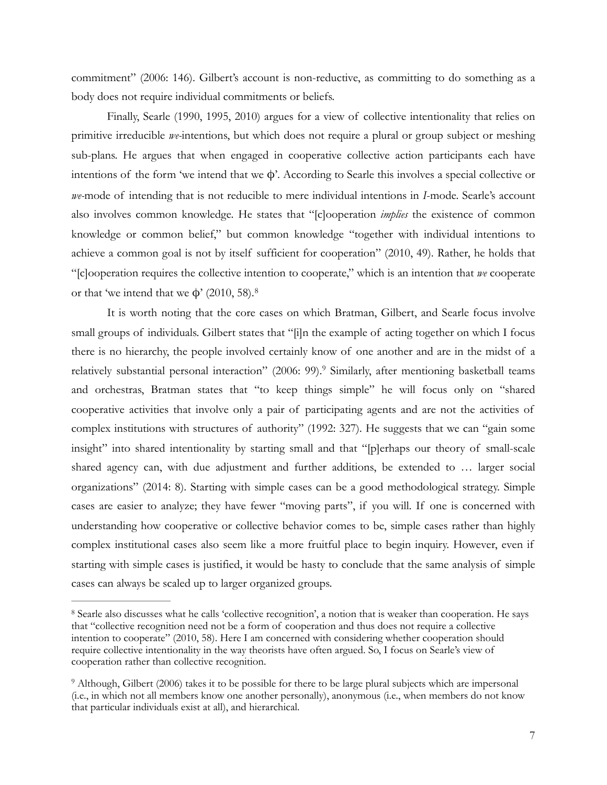commitment" (2006: 146). Gilbert's account is non-reductive, as committing to do something as a body does not require individual commitments or beliefs.

 Finally, Searle (1990, 1995, 2010) argues for a view of collective intentionality that relies on primitive irreducible *we-*intentions, but which does not require a plural or group subject or meshing sub-plans. He argues that when engaged in cooperative collective action participants each have intentions of the form 'we intend that we  $\phi$ '. According to Searle this involves a special collective or *we-*mode of intending that is not reducible to mere individual intentions in *I*-mode. Searle's account also involves common knowledge. He states that "[c]ooperation *implies* the existence of common knowledge or common belief," but common knowledge "together with individual intentions to achieve a common goal is not by itself sufficient for cooperation" (2010, 49). Rather, he holds that "[c]ooperation requires the collective intention to cooperate," which is an intention that *we* cooperate or that 'we intend that we  $\phi$ ' (2010, 5[8](#page-6-0)).<sup>8</sup>

<span id="page-6-3"></span><span id="page-6-2"></span> It is worth noting that the core cases on which Bratman, Gilbert, and Searle focus involve small groups of individuals. Gilbert states that "[i]n the example of acting together on which I focus there is no hierarchy, the people involved certainly know of one another and are in the midst of a relatively substantial personal interaction" (2006: [9](#page-6-1)9).<sup>9</sup> Similarly, after mentioning basketball teams and orchestras, Bratman states that "to keep things simple" he will focus only on "shared cooperative activities that involve only a pair of participating agents and are not the activities of complex institutions with structures of authority" (1992: 327). He suggests that we can "gain some insight" into shared intentionality by starting small and that "[p]erhaps our theory of small-scale shared agency can, with due adjustment and further additions, be extended to … larger social organizations" (2014: 8). Starting with simple cases can be a good methodological strategy. Simple cases are easier to analyze; they have fewer "moving parts", if you will. If one is concerned with understanding how cooperative or collective behavior comes to be, simple cases rather than highly complex institutional cases also seem like a more fruitful place to begin inquiry. However, even if starting with simple cases is justified, it would be hasty to conclude that the same analysis of simple cases can always be scaled up to larger organized groups.

<span id="page-6-0"></span><sup>&</sup>lt;sup>[8](#page-6-2)</sup> Searle also discusses what he calls 'collective recognition', a notion that is weaker than cooperation. He says that "collective recognition need not be a form of cooperation and thus does not require a collective intention to cooperate" (2010, 58). Here I am concerned with considering whether cooperation should require collective intentionality in the way theorists have often argued. So, I focus on Searle's view of cooperation rather than collective recognition.

<span id="page-6-1"></span><sup>&</sup>lt;sup>[9](#page-6-3)</sup> Although, Gilbert (2006) takes it to be possible for there to be large plural subjects which are impersonal (i.e., in which not all members know one another personally), anonymous (i.e., when members do not know that particular individuals exist at all), and hierarchical.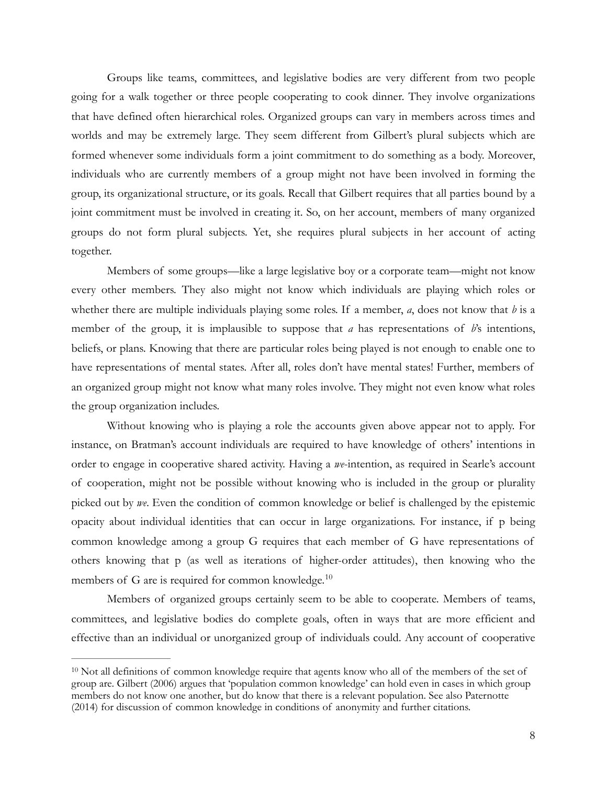Groups like teams, committees, and legislative bodies are very different from two people going for a walk together or three people cooperating to cook dinner. They involve organizations that have defined often hierarchical roles. Organized groups can vary in members across times and worlds and may be extremely large. They seem different from Gilbert's plural subjects which are formed whenever some individuals form a joint commitment to do something as a body. Moreover, individuals who are currently members of a group might not have been involved in forming the group, its organizational structure, or its goals. Recall that Gilbert requires that all parties bound by a joint commitment must be involved in creating it. So, on her account, members of many organized groups do not form plural subjects. Yet, she requires plural subjects in her account of acting together.

 Members of some groups—like a large legislative boy or a corporate team—might not know every other members. They also might not know which individuals are playing which roles or whether there are multiple individuals playing some roles. If a member, *a*, does not know that *b* is a member of the group, it is implausible to suppose that *a* has representations of *b*'s intentions, beliefs, or plans. Knowing that there are particular roles being played is not enough to enable one to have representations of mental states. After all, roles don't have mental states! Further, members of an organized group might not know what many roles involve. They might not even know what roles the group organization includes.

 Without knowing who is playing a role the accounts given above appear not to apply. For instance, on Bratman's account individuals are required to have knowledge of others' intentions in order to engage in cooperative shared activity. Having a *we*-intention, as required in Searle's account of cooperation, might not be possible without knowing who is included in the group or plurality picked out by *we*. Even the condition of common knowledge or belief is challenged by the epistemic opacity about individual identities that can occur in large organizations. For instance, if p being common knowledge among a group G requires that each member of G have representations of others knowing that p (as well as iterations of higher-order attitudes), then knowing who the members of G are is required for common knowledge.<sup>[10](#page-7-0)</sup>

<span id="page-7-1"></span> Members of organized groups certainly seem to be able to cooperate. Members of teams, committees, and legislative bodies do complete goals, often in ways that are more efficient and effective than an individual or unorganized group of individuals could. Any account of cooperative

<span id="page-7-0"></span> $10$  Not all definitions of common knowledge require that agents know who all of the members of the set of group are. Gilbert (2006) argues that 'population common knowledge' can hold even in cases in which group members do not know one another, but do know that there is a relevant population. See also Paternotte (2014) for discussion of common knowledge in conditions of anonymity and further citations.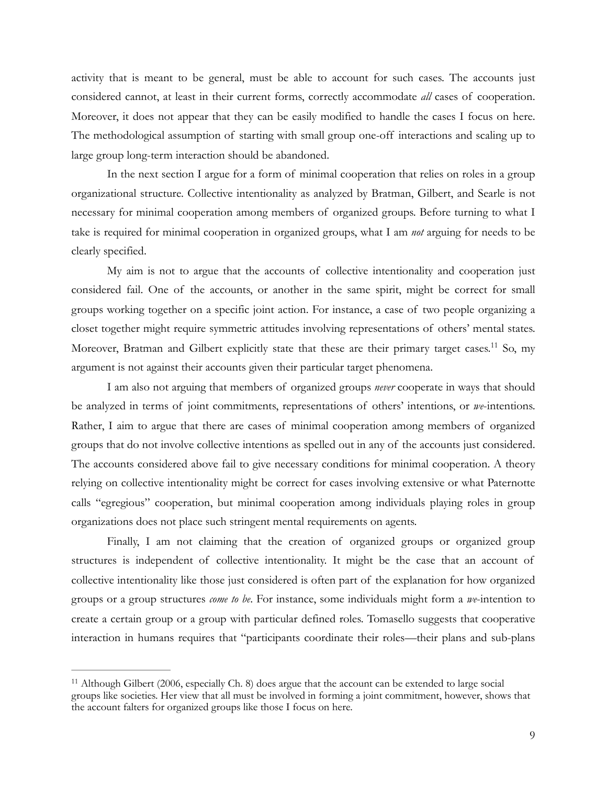activity that is meant to be general, must be able to account for such cases. The accounts just considered cannot, at least in their current forms, correctly accommodate *all* cases of cooperation. Moreover, it does not appear that they can be easily modified to handle the cases I focus on here. The methodological assumption of starting with small group one-off interactions and scaling up to large group long-term interaction should be abandoned.

 In the next section I argue for a form of minimal cooperation that relies on roles in a group organizational structure. Collective intentionality as analyzed by Bratman, Gilbert, and Searle is not necessary for minimal cooperation among members of organized groups. Before turning to what I take is required for minimal cooperation in organized groups, what I am *not* arguing for needs to be clearly specified.

 My aim is not to argue that the accounts of collective intentionality and cooperation just considered fail. One of the accounts, or another in the same spirit, might be correct for small groups working together on a specific joint action. For instance, a case of two people organizing a closet together might require symmetric attitudes involving representations of others' mental states. Moreover, Bratman and Gilbert explicitly state that these are their primary target cases.<sup>[11](#page-8-0)</sup> So, my argument is not against their accounts given their particular target phenomena.

<span id="page-8-1"></span> I am also not arguing that members of organized groups *never* cooperate in ways that should be analyzed in terms of joint commitments, representations of others' intentions, or *we*-intentions. Rather, I aim to argue that there are cases of minimal cooperation among members of organized groups that do not involve collective intentions as spelled out in any of the accounts just considered. The accounts considered above fail to give necessary conditions for minimal cooperation. A theory relying on collective intentionality might be correct for cases involving extensive or what Paternotte calls "egregious" cooperation, but minimal cooperation among individuals playing roles in group organizations does not place such stringent mental requirements on agents.

 Finally, I am not claiming that the creation of organized groups or organized group structures is independent of collective intentionality. It might be the case that an account of collective intentionality like those just considered is often part of the explanation for how organized groups or a group structures *come to be*. For instance, some individuals might form a *we*-intention to create a certain group or a group with particular defined roles. Tomasello suggests that cooperative interaction in humans requires that "participants coordinate their roles—their plans and sub-plans

<span id="page-8-0"></span><sup>&</sup>lt;sup>[11](#page-8-1)</sup> Although Gilbert (2006, especially Ch. 8) does argue that the account can be extended to large social groups like societies. Her view that all must be involved in forming a joint commitment, however, shows that the account falters for organized groups like those I focus on here.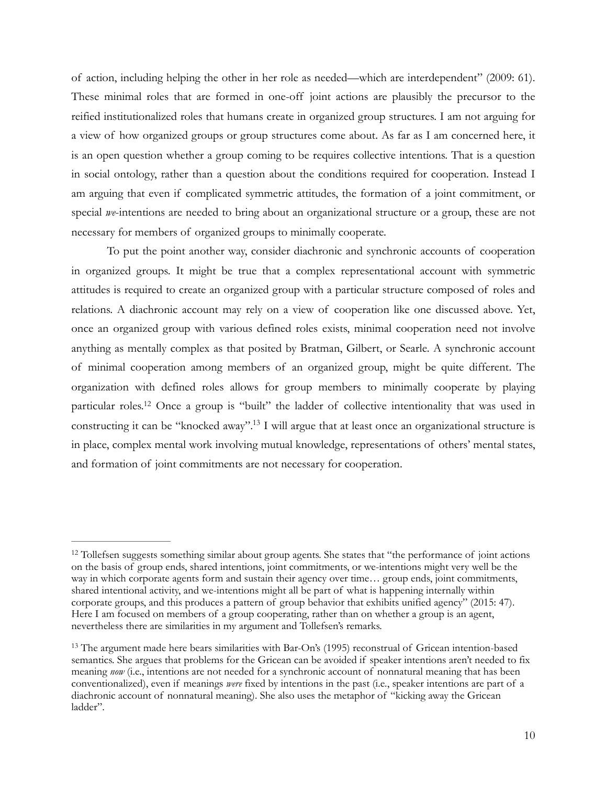of action, including helping the other in her role as needed—which are interdependent" (2009: 61). These minimal roles that are formed in one-off joint actions are plausibly the precursor to the reified institutionalized roles that humans create in organized group structures. I am not arguing for a view of how organized groups or group structures come about. As far as I am concerned here, it is an open question whether a group coming to be requires collective intentions. That is a question in social ontology, rather than a question about the conditions required for cooperation. Instead I am arguing that even if complicated symmetric attitudes, the formation of a joint commitment, or special *we*-intentions are needed to bring about an organizational structure or a group, these are not necessary for members of organized groups to minimally cooperate.

 To put the point another way, consider diachronic and synchronic accounts of cooperation in organized groups. It might be true that a complex representational account with symmetric attitudes is required to create an organized group with a particular structure composed of roles and relations. A diachronic account may rely on a view of cooperation like one discussed above. Yet, once an organized group with various defined roles exists, minimal cooperation need not involve anything as mentally complex as that posited by Bratman, Gilbert, or Searle. A synchronic account of minimal cooperation among members of an organized group, might be quite different. The organization with defined roles allows for group members to minimally cooperate by playing particular roles.<sup>[12](#page-9-0)</sup> Once a group is "built" the ladder of collective intentionality that was used in constructing it can be "knocked away".<sup>[13](#page-9-1)</sup> I will argue that at least once an organizational structure is in place, complex mental work involving mutual knowledge, representations of others' mental states, and formation of joint commitments are not necessary for cooperation.

<span id="page-9-3"></span><span id="page-9-2"></span><span id="page-9-0"></span><sup>&</sup>lt;sup>12</sup>Tollefsen suggests something similar about group agents. She states that "the performance of joint actions on the basis of group ends, shared intentions, joint commitments, or we-intentions might very well be the way in which corporate agents form and sustain their agency over time… group ends, joint commitments, shared intentional activity, and we-intentions might all be part of what is happening internally within corporate groups, and this produces a pattern of group behavior that exhibits unified agency" (2015: 47). Here I am focused on members of a group cooperating, rather than on whether a group is an agent, nevertheless there are similarities in my argument and Tollefsen's remarks.

<span id="page-9-1"></span><sup>&</sup>lt;sup>13</sup>The argument made here bears similarities with Bar-On's (1995) reconstrual of Gricean intention-based semantics. She argues that problems for the Gricean can be avoided if speaker intentions aren't needed to fix meaning *now* (i.e., intentions are not needed for a synchronic account of nonnatural meaning that has been conventionalized), even if meanings *were* fixed by intentions in the past (i.e., speaker intentions are part of a diachronic account of nonnatural meaning). She also uses the metaphor of "kicking away the Gricean ladder".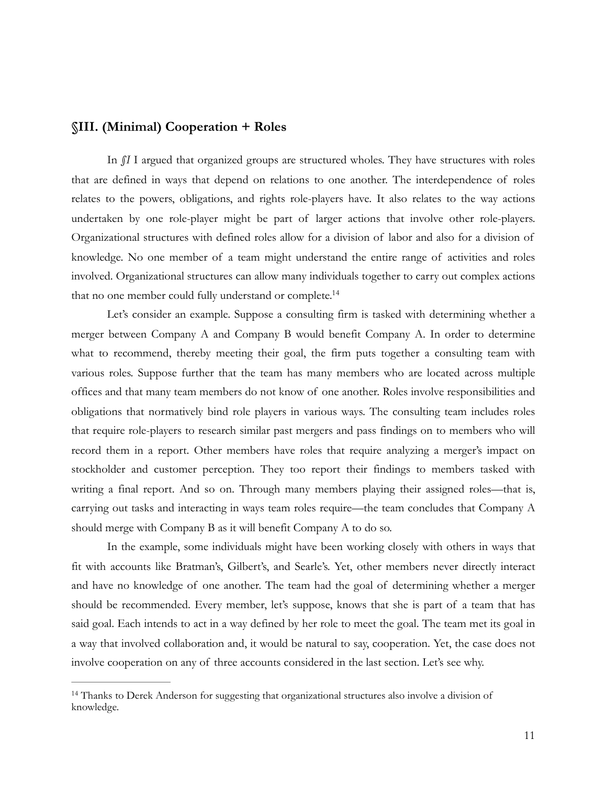### **§III. (Minimal) Cooperation + Roles**

 In *§I* I argued that organized groups are structured wholes. They have structures with roles that are defined in ways that depend on relations to one another. The interdependence of roles relates to the powers, obligations, and rights role-players have. It also relates to the way actions undertaken by one role-player might be part of larger actions that involve other role-players. Organizational structures with defined roles allow for a division of labor and also for a division of knowledge. No one member of a team might understand the entire range of activities and roles involved. Organizational structures can allow many individuals together to carry out complex actions that no one member could fully understand or complete.<sup>14</sup>

<span id="page-10-1"></span> Let's consider an example. Suppose a consulting firm is tasked with determining whether a merger between Company A and Company B would benefit Company A. In order to determine what to recommend, thereby meeting their goal, the firm puts together a consulting team with various roles. Suppose further that the team has many members who are located across multiple offices and that many team members do not know of one another. Roles involve responsibilities and obligations that normatively bind role players in various ways. The consulting team includes roles that require role-players to research similar past mergers and pass findings on to members who will record them in a report. Other members have roles that require analyzing a merger's impact on stockholder and customer perception. They too report their findings to members tasked with writing a final report. And so on. Through many members playing their assigned roles—that is, carrying out tasks and interacting in ways team roles require—the team concludes that Company A should merge with Company B as it will benefit Company A to do so.

 In the example, some individuals might have been working closely with others in ways that fit with accounts like Bratman's, Gilbert's, and Searle's. Yet, other members never directly interact and have no knowledge of one another. The team had the goal of determining whether a merger should be recommended. Every member, let's suppose, knows that she is part of a team that has said goal. Each intends to act in a way defined by her role to meet the goal. The team met its goal in a way that involved collaboration and, it would be natural to say, cooperation. Yet, the case does not involve cooperation on any of three accounts considered in the last section. Let's see why.

<span id="page-10-0"></span><sup>&</sup>lt;sup>[14](#page-10-1)</sup> Thanks to Derek Anderson for suggesting that organizational structures also involve a division of knowledge.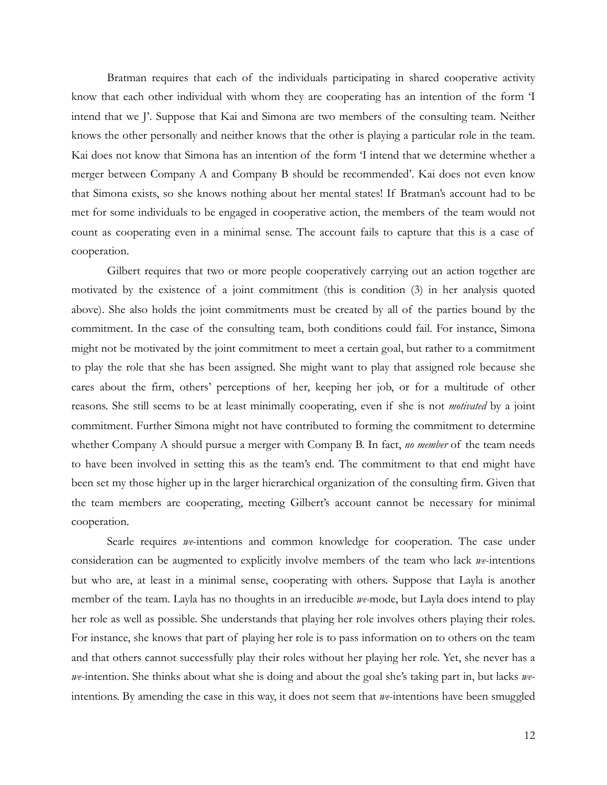Bratman requires that each of the individuals participating in shared cooperative activity know that each other individual with whom they are cooperating has an intention of the form 'I intend that we J'. Suppose that Kai and Simona are two members of the consulting team. Neither knows the other personally and neither knows that the other is playing a particular role in the team. Kai does not know that Simona has an intention of the form 'I intend that we determine whether a merger between Company A and Company B should be recommended'. Kai does not even know that Simona exists, so she knows nothing about her mental states! If Bratman's account had to be met for some individuals to be engaged in cooperative action, the members of the team would not count as cooperating even in a minimal sense. The account fails to capture that this is a case of cooperation.

 Gilbert requires that two or more people cooperatively carrying out an action together are motivated by the existence of a joint commitment (this is condition (3) in her analysis quoted above). She also holds the joint commitments must be created by all of the parties bound by the commitment. In the case of the consulting team, both conditions could fail. For instance, Simona might not be motivated by the joint commitment to meet a certain goal, but rather to a commitment to play the role that she has been assigned. She might want to play that assigned role because she cares about the firm, others' perceptions of her, keeping her job, or for a multitude of other reasons. She still seems to be at least minimally cooperating, even if she is not *motivated* by a joint commitment. Further Simona might not have contributed to forming the commitment to determine whether Company A should pursue a merger with Company B. In fact, *no member* of the team needs to have been involved in setting this as the team's end. The commitment to that end might have been set my those higher up in the larger hierarchical organization of the consulting firm. Given that the team members are cooperating, meeting Gilbert's account cannot be necessary for minimal cooperation.

 Searle requires *we*-intentions and common knowledge for cooperation. The case under consideration can be augmented to explicitly involve members of the team who lack *we*-intentions but who are, at least in a minimal sense, cooperating with others. Suppose that Layla is another member of the team. Layla has no thoughts in an irreducible *we-*mode, but Layla does intend to play her role as well as possible. She understands that playing her role involves others playing their roles. For instance, she knows that part of playing her role is to pass information on to others on the team and that others cannot successfully play their roles without her playing her role. Yet, she never has a *we*-intention. She thinks about what she is doing and about the goal she's taking part in, but lacks *we*intentions. By amending the case in this way, it does not seem that *we*-intentions have been smuggled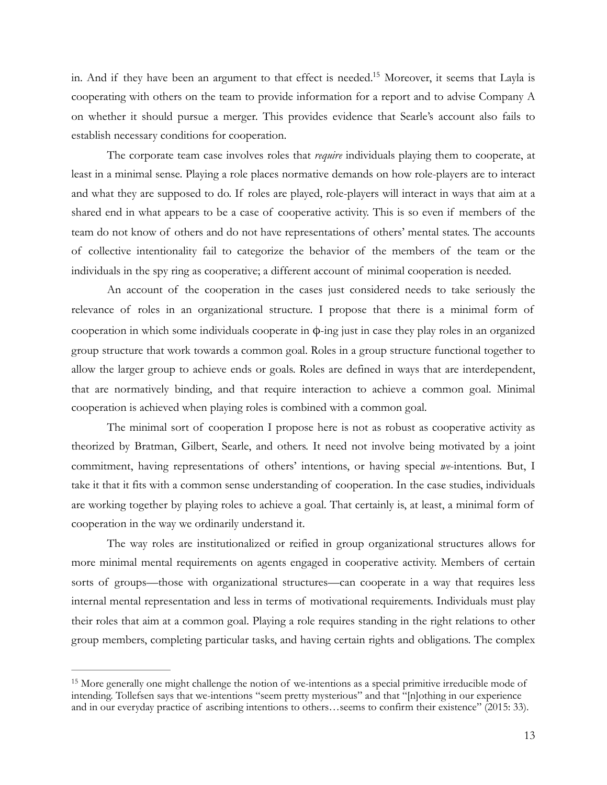<span id="page-12-1"></span>in[.](#page-12-0) And if they have been an argument to that effect is needed.<sup>[15](#page-12-0)</sup> Moreover, it seems that Layla is cooperating with others on the team to provide information for a report and to advise Company A on whether it should pursue a merger. This provides evidence that Searle's account also fails to establish necessary conditions for cooperation.

 The corporate team case involves roles that *require* individuals playing them to cooperate, at least in a minimal sense. Playing a role places normative demands on how role-players are to interact and what they are supposed to do. If roles are played, role-players will interact in ways that aim at a shared end in what appears to be a case of cooperative activity. This is so even if members of the team do not know of others and do not have representations of others' mental states. The accounts of collective intentionality fail to categorize the behavior of the members of the team or the individuals in the spy ring as cooperative; a different account of minimal cooperation is needed.

 An account of the cooperation in the cases just considered needs to take seriously the relevance of roles in an organizational structure. I propose that there is a minimal form of cooperation in which some individuals cooperate in  $\phi$ -ing just in case they play roles in an organized group structure that work towards a common goal. Roles in a group structure functional together to allow the larger group to achieve ends or goals. Roles are defined in ways that are interdependent, that are normatively binding, and that require interaction to achieve a common goal. Minimal cooperation is achieved when playing roles is combined with a common goal.

 The minimal sort of cooperation I propose here is not as robust as cooperative activity as theorized by Bratman, Gilbert, Searle, and others. It need not involve being motivated by a joint commitment, having representations of others' intentions, or having special *we*-intentions. But, I take it that it fits with a common sense understanding of cooperation. In the case studies, individuals are working together by playing roles to achieve a goal. That certainly is, at least, a minimal form of cooperation in the way we ordinarily understand it.

 The way roles are institutionalized or reified in group organizational structures allows for more minimal mental requirements on agents engaged in cooperative activity. Members of certain sorts of groups—those with organizational structures—can cooperate in a way that requires less internal mental representation and less in terms of motivational requirements. Individuals must play their roles that aim at a common goal. Playing a role requires standing in the right relations to other group members, completing particular tasks, and having certain rights and obligations. The complex

<span id="page-12-0"></span><sup>&</sup>lt;sup>[15](#page-12-1)</sup> More generally one might challenge the notion of we-intentions as a special primitive irreducible mode of intending. Tollefsen says that we-intentions "seem pretty mysterious" and that "[n]othing in our experience and in our everyday practice of ascribing intentions to others…seems to confirm their existence" (2015: 33).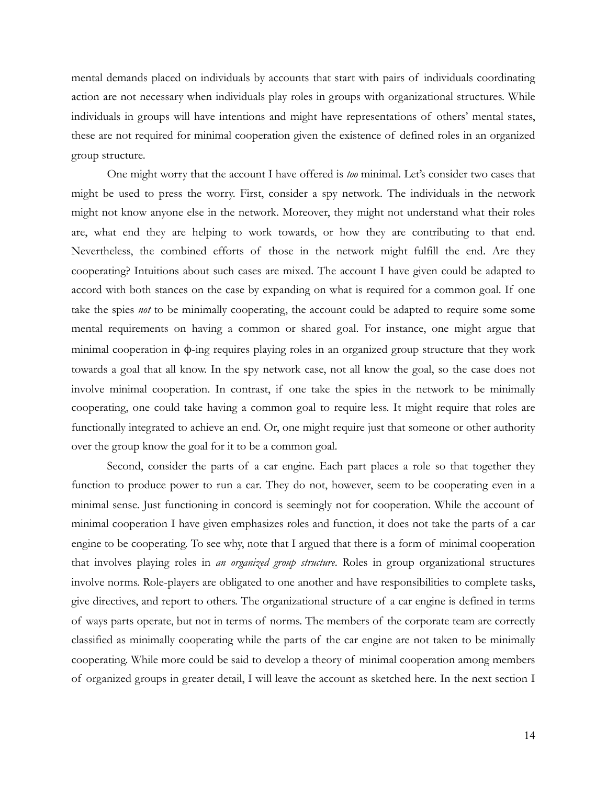mental demands placed on individuals by accounts that start with pairs of individuals coordinating action are not necessary when individuals play roles in groups with organizational structures. While individuals in groups will have intentions and might have representations of others' mental states, these are not required for minimal cooperation given the existence of defined roles in an organized group structure.

 One might worry that the account I have offered is *too* minimal. Let's consider two cases that might be used to press the worry. First, consider a spy network. The individuals in the network might not know anyone else in the network. Moreover, they might not understand what their roles are, what end they are helping to work towards, or how they are contributing to that end. Nevertheless, the combined efforts of those in the network might fulfill the end. Are they cooperating? Intuitions about such cases are mixed. The account I have given could be adapted to accord with both stances on the case by expanding on what is required for a common goal. If one take the spies *not* to be minimally cooperating, the account could be adapted to require some some mental requirements on having a common or shared goal. For instance, one might argue that minimal cooperation in φ-ing requires playing roles in an organized group structure that they work towards a goal that all know. In the spy network case, not all know the goal, so the case does not involve minimal cooperation. In contrast, if one take the spies in the network to be minimally cooperating, one could take having a common goal to require less. It might require that roles are functionally integrated to achieve an end. Or, one might require just that someone or other authority over the group know the goal for it to be a common goal.

 Second, consider the parts of a car engine. Each part places a role so that together they function to produce power to run a car. They do not, however, seem to be cooperating even in a minimal sense. Just functioning in concord is seemingly not for cooperation. While the account of minimal cooperation I have given emphasizes roles and function, it does not take the parts of a car engine to be cooperating. To see why, note that I argued that there is a form of minimal cooperation that involves playing roles in *an organized group structure*. Roles in group organizational structures involve norms. Role-players are obligated to one another and have responsibilities to complete tasks, give directives, and report to others. The organizational structure of a car engine is defined in terms of ways parts operate, but not in terms of norms. The members of the corporate team are correctly classified as minimally cooperating while the parts of the car engine are not taken to be minimally cooperating. While more could be said to develop a theory of minimal cooperation among members of organized groups in greater detail, I will leave the account as sketched here. In the next section I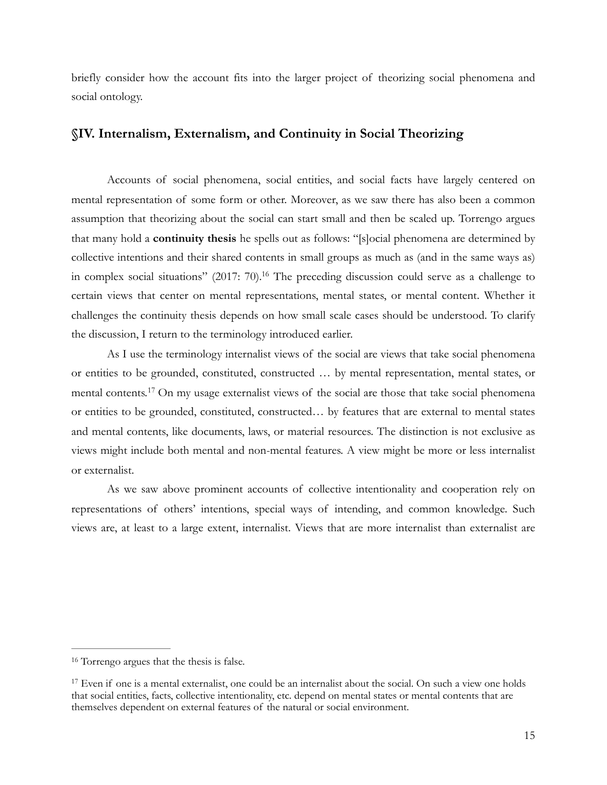briefly consider how the account fits into the larger project of theorizing social phenomena and social ontology.

## **§IV. Internalism, Externalism, and Continuity in Social Theorizing**

Accounts of social phenomena, social entities, and social facts have largely centered on mental representation of some form or other. Moreover, as we saw there has also been a common assumption that theorizing about the social can start small and then be scaled up. Torrengo argues that many hold a **continuity thesis** he spells out as follows: "[s]ocial phenomena are determined by collective intentions and their shared contents in small groups as much as (and in the same ways as) in complex social situations"  $(2017: 70)^{16}$  $(2017: 70)^{16}$  $(2017: 70)^{16}$  The preceding discussion could serve as a challenge to certain views that center on mental representations, mental states, or mental content. Whether it challenges the continuity thesis depends on how small scale cases should be understood. To clarify the discussion, I return to the terminology introduced earlier.

<span id="page-14-3"></span><span id="page-14-2"></span> As I use the terminology internalist views of the social are views that take social phenomena or entities to be grounded, constituted, constructed … by mental representation, mental states, or mental contents.<sup>[17](#page-14-1)</sup> On my usage externalist views of the social are those that take social phenomena or entities to be grounded, constituted, constructed… by features that are external to mental states and mental contents, like documents, laws, or material resources. The distinction is not exclusive as views might include both mental and non-mental features. A view might be more or less internalist or externalist.

 As we saw above prominent accounts of collective intentionality and cooperation rely on representations of others' intentions, special ways of intending, and common knowledge. Such views are, at least to a large extent, internalist. Views that are more internalist than externalist are

<span id="page-14-0"></span> $16$  Torrengo argues that the thesis is false.

<span id="page-14-1"></span><sup>&</sup>lt;sup>[17](#page-14-3)</sup> Even if one is a mental externalist, one could be an internalist about the social. On such a view one holds that social entities, facts, collective intentionality, etc. depend on mental states or mental contents that are themselves dependent on external features of the natural or social environment.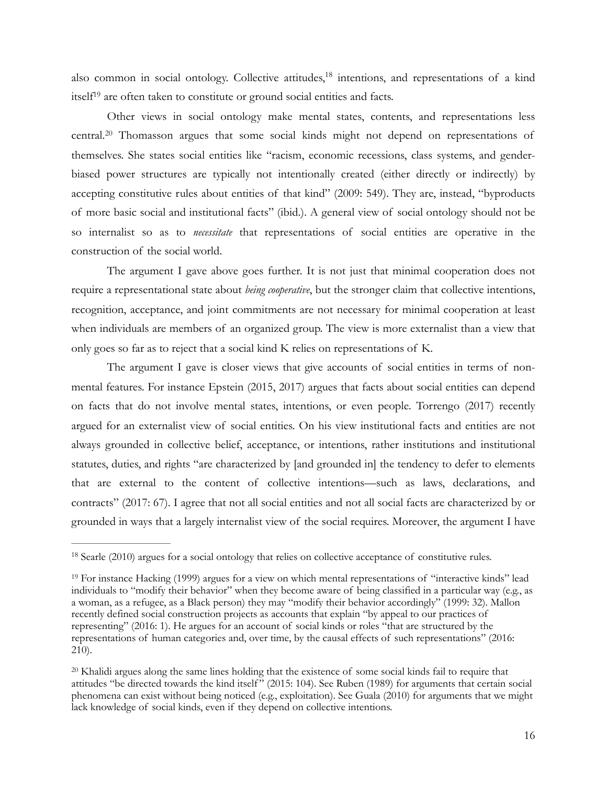<span id="page-15-3"></span>also common in social ontology. Collective attitudes,<sup>18</sup> intentions[,](#page-15-0) and representations of a kind itself<sup>[19](#page-15-1)</sup> are often taken to constitute or ground social entities and facts.

<span id="page-15-5"></span><span id="page-15-4"></span> Other views in social ontology make mental states, contents, and representations less central.<sup>[20](#page-15-2)</sup> Thomasson argues that some social kinds might not depend on representations of themselves. She states social entities like "racism, economic recessions, class systems, and genderbiased power structures are typically not intentionally created (either directly or indirectly) by accepting constitutive rules about entities of that kind" (2009: 549). They are, instead, "byproducts of more basic social and institutional facts" (ibid.). A general view of social ontology should not be so internalist so as to *necessitate* that representations of social entities are operative in the construction of the social world.

 The argument I gave above goes further. It is not just that minimal cooperation does not require a representational state about *being cooperative*, but the stronger claim that collective intentions, recognition, acceptance, and joint commitments are not necessary for minimal cooperation at least when individuals are members of an organized group. The view is more externalist than a view that only goes so far as to reject that a social kind K relies on representations of K.

The argument I gave is closer views that give accounts of social entities in terms of nonmental features. For instance Epstein (2015, 2017) argues that facts about social entities can depend on facts that do not involve mental states, intentions, or even people. Torrengo (2017) recently argued for an externalist view of social entities. On his view institutional facts and entities are not always grounded in collective belief, acceptance, or intentions, rather institutions and institutional statutes, duties, and rights "are characterized by [and grounded in] the tendency to defer to elements that are external to the content of collective intentions—such as laws, declarations, and contracts" (2017: 67). I agree that not all social entities and not all social facts are characterized by or grounded in ways that a largely internalist view of the social requires. Moreover, the argument I have

<span id="page-15-0"></span><sup>&</sup>lt;sup>[18](#page-15-3)</sup> Searle (2010) argues for a social ontology that relies on collective acceptance of constitutive rules.

<span id="page-15-1"></span><sup>&</sup>lt;sup>19</sup>For instance Hacking ([19](#page-15-4)99) argues for a view on which mental representations of "interactive kinds" lead individuals to "modify their behavior" when they become aware of being classified in a particular way (e.g., as a woman, as a refugee, as a Black person) they may "modify their behavior accordingly" (1999: 32). Mallon recently defined social construction projects as accounts that explain "by appeal to our practices of representing" (2016: 1). He argues for an account of social kinds or roles "that are structured by the representations of human categories and, over time, by the causal effects of such representations" (2016: 210).

<span id="page-15-2"></span> $^{20}$  $^{20}$  $^{20}$ Khalidi argues along the same lines holding that the existence of some social kinds fail to require that attitudes "be directed towards the kind itself" (2015: 104). See Ruben (1989) for arguments that certain social phenomena can exist without being noticed (e.g., exploitation). See Guala (2010) for arguments that we might lack knowledge of social kinds, even if they depend on collective intentions.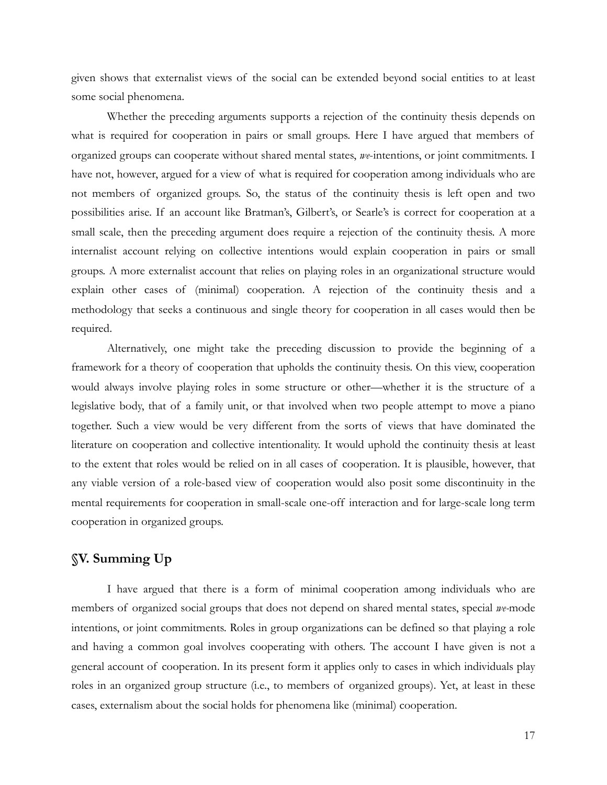given shows that externalist views of the social can be extended beyond social entities to at least some social phenomena.

 Whether the preceding arguments supports a rejection of the continuity thesis depends on what is required for cooperation in pairs or small groups. Here I have argued that members of organized groups can cooperate without shared mental states, *we*-intentions, or joint commitments. I have not, however, argued for a view of what is required for cooperation among individuals who are not members of organized groups. So, the status of the continuity thesis is left open and two possibilities arise. If an account like Bratman's, Gilbert's, or Searle's is correct for cooperation at a small scale, then the preceding argument does require a rejection of the continuity thesis. A more internalist account relying on collective intentions would explain cooperation in pairs or small groups. A more externalist account that relies on playing roles in an organizational structure would explain other cases of (minimal) cooperation. A rejection of the continuity thesis and a methodology that seeks a continuous and single theory for cooperation in all cases would then be required.

 Alternatively, one might take the preceding discussion to provide the beginning of a framework for a theory of cooperation that upholds the continuity thesis. On this view, cooperation would always involve playing roles in some structure or other—whether it is the structure of a legislative body, that of a family unit, or that involved when two people attempt to move a piano together. Such a view would be very different from the sorts of views that have dominated the literature on cooperation and collective intentionality. It would uphold the continuity thesis at least to the extent that roles would be relied on in all cases of cooperation. It is plausible, however, that any viable version of a role-based view of cooperation would also posit some discontinuity in the mental requirements for cooperation in small-scale one-off interaction and for large-scale long term cooperation in organized groups.

## **§V. Summing Up**

 I have argued that there is a form of minimal cooperation among individuals who are members of organized social groups that does not depend on shared mental states, special *we-*mode intentions, or joint commitments. Roles in group organizations can be defined so that playing a role and having a common goal involves cooperating with others. The account I have given is not a general account of cooperation. In its present form it applies only to cases in which individuals play roles in an organized group structure (i.e., to members of organized groups). Yet, at least in these cases, externalism about the social holds for phenomena like (minimal) cooperation.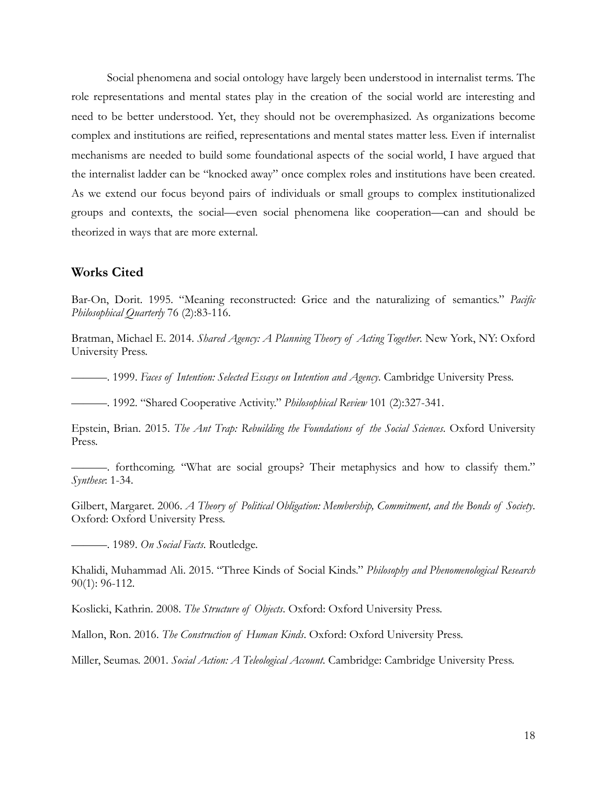Social phenomena and social ontology have largely been understood in internalist terms. The role representations and mental states play in the creation of the social world are interesting and need to be better understood. Yet, they should not be overemphasized. As organizations become complex and institutions are reified, representations and mental states matter less. Even if internalist mechanisms are needed to build some foundational aspects of the social world, I have argued that the internalist ladder can be "knocked away" once complex roles and institutions have been created. As we extend our focus beyond pairs of individuals or small groups to complex institutionalized groups and contexts, the social—even social phenomena like cooperation—can and should be theorized in ways that are more external.

### **Works Cited**

Bar-On, Dorit. 1995. "Meaning reconstructed: Grice and the naturalizing of semantics." *Pacific Philosophical Quarterly* 76 (2):83-116.

Bratman, Michael E. 2014. *Shared Agency: A Planning Theory of Acting Together*. New York, NY: Oxford University Press.

———. 1999. *Faces of Intention: Selected Essays on Intention and Agency*. Cambridge University Press.

———. 1992. "Shared Cooperative Activity." *Philosophical Review* 101 (2):327-341.

Epstein, Brian. 2015. *The Ant Trap: Rebuilding the Foundations of the Social Sciences*. Oxford University Press.

———. forthcoming. "What are social groups? Their metaphysics and how to classify them." *Synthese*: 1-34.

Gilbert, Margaret. 2006. *A Theory of Political Obligation: Membership, Commitment, and the Bonds of Society*. Oxford: Oxford University Press.

———. 1989. *On Social Facts*. Routledge.

Khalidi, Muhammad Ali. 2015. "Three Kinds of Social Kinds." *Philosophy and Phenomenological Research* 90(1): 96-112.

Koslicki, Kathrin. 2008. *The Structure of Objects*. Oxford: Oxford University Press.

Mallon, Ron. 2016. *The Construction of Human Kinds*. Oxford: Oxford University Press.

Miller, Seumas. 2001. *Social Action: A Teleological Account*. Cambridge: Cambridge University Press.